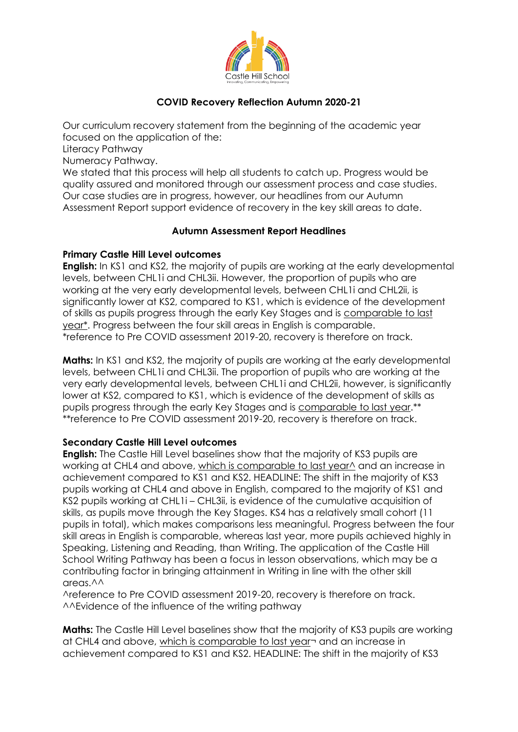

# **COVID Recovery Reflection Autumn 2020-21**

Our curriculum recovery statement from the beginning of the academic year focused on the application of the:

Literacy Pathway

Numeracy Pathway.

We stated that this process will help all students to catch up. Progress would be quality assured and monitored through our assessment process and case studies. Our case studies are in progress, however, our headlines from our Autumn Assessment Report support evidence of recovery in the key skill areas to date.

## **Autumn Assessment Report Headlines**

## **Primary Castle Hill Level outcomes**

**English:** In KS1 and KS2, the majority of pupils are working at the early developmental levels, between CHL1i and CHL3ii. However, the proportion of pupils who are working at the very early developmental levels, between CHL1i and CHL2ii, is significantly lower at KS2, compared to KS1, which is evidence of the development of skills as pupils progress through the early Key Stages and is comparable to last year\*. Progress between the four skill areas in English is comparable. \*reference to Pre COVID assessment 2019-20, recovery is therefore on track.

**Maths:** In KS1 and KS2, the majority of pupils are working at the early developmental levels, between CHL1i and CHL3ii. The proportion of pupils who are working at the very early developmental levels, between CHL1i and CHL2ii, however, is significantly lower at KS2, compared to KS1, which is evidence of the development of skills as pupils progress through the early Key Stages and is comparable to last year.\*\* \*\*reference to Pre COVID assessment 2019-20, recovery is therefore on track.

#### **Secondary Castle Hill Level outcomes**

**English:** The Castle Hill Level baselines show that the majority of KS3 pupils are working at CHL4 and above, which is comparable to last year<sup> $\wedge$ </sup> and an increase in achievement compared to KS1 and KS2. HEADLINE: The shift in the majority of KS3 pupils working at CHL4 and above in English, compared to the majority of KS1 and KS2 pupils working at CHL1i – CHL3ii, is evidence of the cumulative acquisition of skills, as pupils move through the Key Stages. KS4 has a relatively small cohort (11 pupils in total), which makes comparisons less meaningful. Progress between the four skill areas in English is comparable, whereas last year, more pupils achieved highly in Speaking, Listening and Reading, than Writing. The application of the Castle Hill School Writing Pathway has been a focus in lesson observations, which may be a contributing factor in bringing attainment in Writing in line with the other skill areas. $\wedge\wedge$ 

^reference to Pre COVID assessment 2019-20, recovery is therefore on track. ^^Evidence of the influence of the writing pathway

**Maths:** The Castle Hill Level baselines show that the majority of KS3 pupils are working at CHL4 and above, which is comparable to last year¬ and an increase in achievement compared to KS1 and KS2. HEADLINE: The shift in the majority of KS3